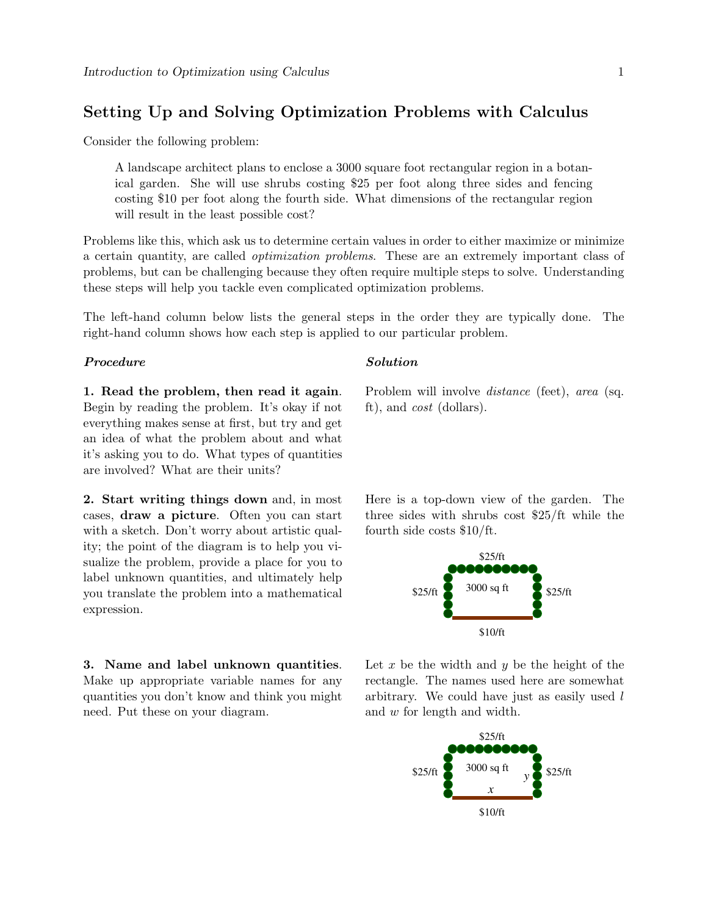# Setting Up and Solving Optimization Problems with Calculus

Consider the following problem:

A landscape architect plans to enclose a 3000 square foot rectangular region in a botanical garden. She will use shrubs costing \$25 per foot along three sides and fencing costing \$10 per foot along the fourth side. What dimensions of the rectangular region will result in the least possible cost?

Problems like this, which ask us to determine certain values in order to either maximize or minimize a certain quantity, are called optimization problems. These are an extremely important class of problems, but can be challenging because they often require multiple steps to solve. Understanding these steps will help you tackle even complicated optimization problems.

The left-hand column below lists the general steps in the order they are typically done. The right-hand column shows how each step is applied to our particular problem.

## Procedure Solution

1. Read the problem, then read it again. Begin by reading the problem. It's okay if not everything makes sense at first, but try and get an idea of what the problem about and what it's asking you to do. What types of quantities are involved? What are their units?

2. Start writing things down and, in most cases, draw a picture. Often you can start with a sketch. Don't worry about artistic quality; the point of the diagram is to help you visualize the problem, provide a place for you to label unknown quantities, and ultimately help you translate the problem into a mathematical expression.

3. Name and label unknown quantities. Make up appropriate variable names for any quantities you don't know and think you might need. Put these on your diagram.

Problem will involve *distance* (feet), area (sq. ft), and cost (dollars).

Here is a top-down view of the garden. The three sides with shrubs cost \$25/ft while the fourth side costs \$10/ft.



Let x be the width and y be the height of the rectangle. The names used here are somewhat arbitrary. We could have just as easily used l and w for length and width.

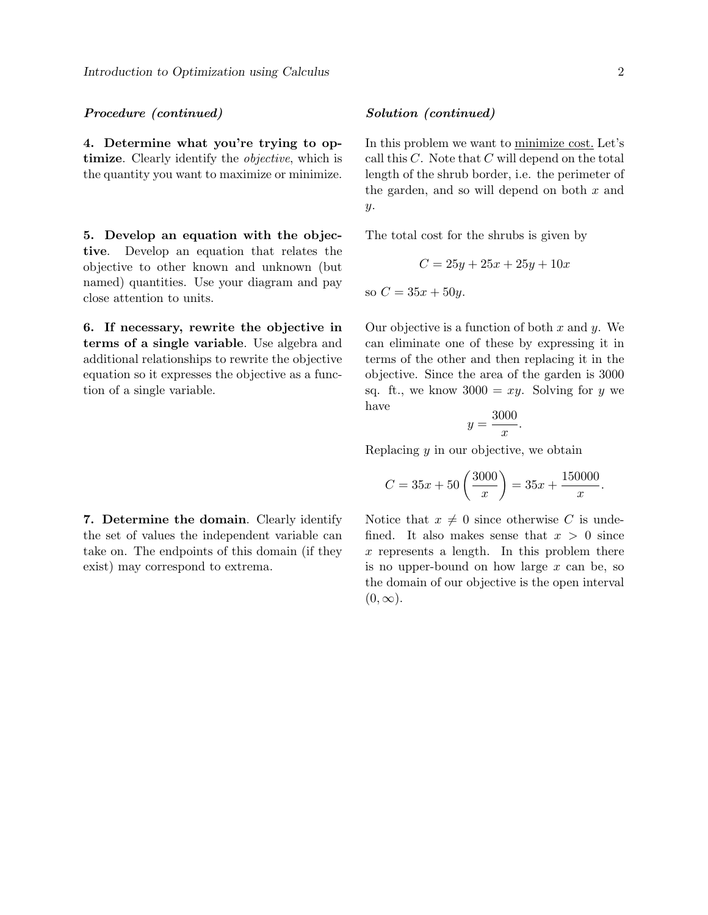## Procedure (continued) Solution (continued)

4. Determine what you're trying to optimize. Clearly identify the *objective*, which is the quantity you want to maximize or minimize.

5. Develop an equation with the objective. Develop an equation that relates the objective to other known and unknown (but named) quantities. Use your diagram and pay close attention to units.

6. If necessary, rewrite the objective in terms of a single variable. Use algebra and additional relationships to rewrite the objective equation so it expresses the objective as a function of a single variable.

## 7. Determine the domain. Clearly identify the set of values the independent variable can take on. The endpoints of this domain (if they exist) may correspond to extrema.

In this problem we want to minimize cost. Let's call this  $C$ . Note that  $C$  will depend on the total length of the shrub border, i.e. the perimeter of the garden, and so will depend on both  $x$  and  $y$ .

The total cost for the shrubs is given by

$$
C = 25y + 25x + 25y + 10x
$$

so  $C = 35x + 50y$ .

Our objective is a function of both  $x$  and  $y$ . We can eliminate one of these by expressing it in terms of the other and then replacing it in the objective. Since the area of the garden is 3000 sq. ft., we know  $3000 = xy$ . Solving for y we have

$$
y = \frac{3000}{x}.
$$

Replacing  $y$  in our objective, we obtain

$$
C = 35x + 50\left(\frac{3000}{x}\right) = 35x + \frac{150000}{x}.
$$

Notice that  $x \neq 0$  since otherwise C is undefined. It also makes sense that  $x > 0$  since  $x$  represents a length. In this problem there is no upper-bound on how large  $x$  can be, so the domain of our objective is the open interval  $(0, \infty)$ .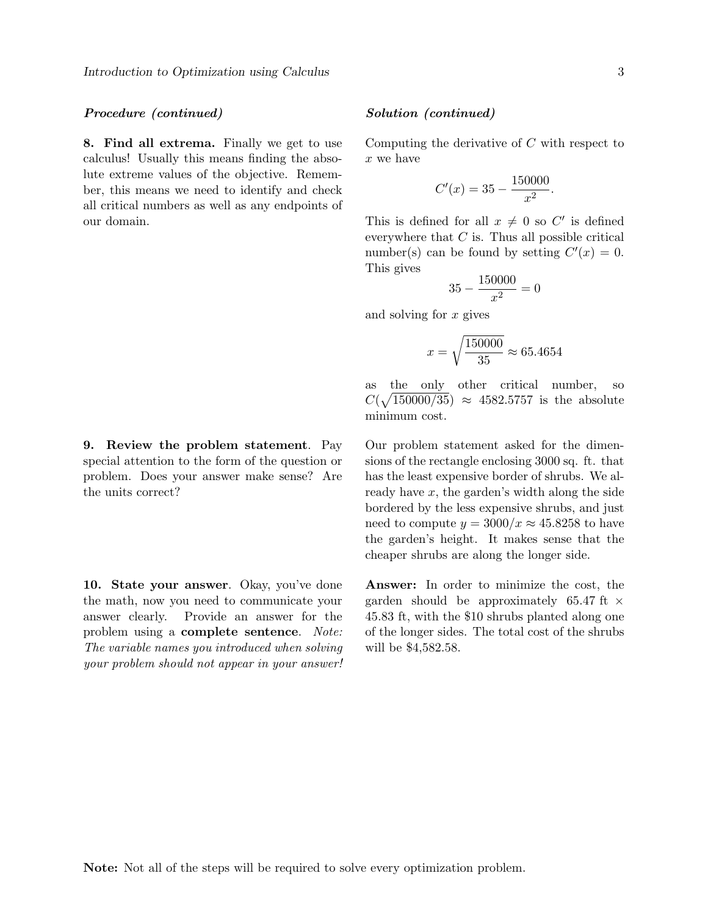### Procedure (continued) Solution (continued)

8. Find all extrema. Finally we get to use calculus! Usually this means finding the absolute extreme values of the objective. Remember, this means we need to identify and check all critical numbers as well as any endpoints of our domain.

9. Review the problem statement. Pay special attention to the form of the question or problem. Does your answer make sense? Are the units correct?

10. State your answer. Okay, you've done the math, now you need to communicate your answer clearly. Provide an answer for the problem using a complete sentence. Note: The variable names you introduced when solving your problem should not appear in your answer!

Computing the derivative of C with respect to x we have

$$
C'(x) = 35 - \frac{150000}{x^2}.
$$

This is defined for all  $x \neq 0$  so C' is defined everywhere that  $C$  is. Thus all possible critical number(s) can be found by setting  $C'(x) = 0$ . This gives

$$
35 - \frac{150000}{x^2} = 0
$$

and solving for x gives

$$
x = \sqrt{\frac{150000}{35}} \approx 65.4654
$$

as the only other critical number, so  $C(\sqrt{150000/35}) \approx 4582.5757$  is the absolute minimum cost.

Our problem statement asked for the dimensions of the rectangle enclosing 3000 sq. ft. that has the least expensive border of shrubs. We already have  $x$ , the garden's width along the side bordered by the less expensive shrubs, and just need to compute  $y = 3000/x \approx 45.8258$  to have the garden's height. It makes sense that the cheaper shrubs are along the longer side.

Answer: In order to minimize the cost, the garden should be approximately 65.47 ft  $\times$ 45.83 ft, with the \$10 shrubs planted along one of the longer sides. The total cost of the shrubs will be \$4,582.58.